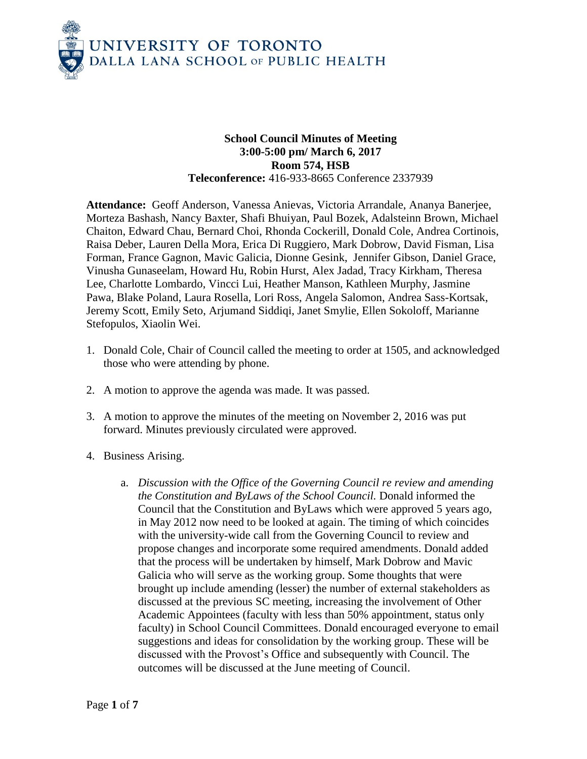

## **School Council Minutes of Meeting 3:00-5:00 pm/ March 6, 2017 Room 574, HSB Teleconference:** 416-933-8665 Conference 2337939

**Attendance:** Geoff Anderson, Vanessa Anievas, Victoria Arrandale, Ananya Banerjee, Morteza Bashash, Nancy Baxter, Shafi Bhuiyan, Paul Bozek, Adalsteinn Brown, Michael Chaiton, Edward Chau, Bernard Choi, Rhonda Cockerill, Donald Cole, Andrea Cortinois, Raisa Deber, Lauren Della Mora, Erica Di Ruggiero, Mark Dobrow, David Fisman, Lisa Forman, France Gagnon, Mavic Galicia, Dionne Gesink, Jennifer Gibson, Daniel Grace, Vinusha Gunaseelam, Howard Hu, Robin Hurst, Alex Jadad, Tracy Kirkham, Theresa Lee, Charlotte Lombardo, Vincci Lui, Heather Manson, Kathleen Murphy, Jasmine Pawa, Blake Poland, Laura Rosella, Lori Ross, Angela Salomon, Andrea Sass-Kortsak, Jeremy Scott, Emily Seto, Arjumand Siddiqi, Janet Smylie, Ellen Sokoloff, Marianne Stefopulos, Xiaolin Wei.

- 1. Donald Cole, Chair of Council called the meeting to order at 1505, and acknowledged those who were attending by phone.
- 2. A motion to approve the agenda was made. It was passed.
- 3. A motion to approve the minutes of the meeting on November 2, 2016 was put forward. Minutes previously circulated were approved.
- 4. Business Arising.
	- a. *Discussion with the Office of the Governing Council re review and amending the Constitution and ByLaws of the School Council.* Donald informed the Council that the Constitution and ByLaws which were approved 5 years ago, in May 2012 now need to be looked at again. The timing of which coincides with the university-wide call from the Governing Council to review and propose changes and incorporate some required amendments. Donald added that the process will be undertaken by himself, Mark Dobrow and Mavic Galicia who will serve as the working group. Some thoughts that were brought up include amending (lesser) the number of external stakeholders as discussed at the previous SC meeting, increasing the involvement of Other Academic Appointees (faculty with less than 50% appointment, status only faculty) in School Council Committees. Donald encouraged everyone to email suggestions and ideas for consolidation by the working group. These will be discussed with the Provost's Office and subsequently with Council. The outcomes will be discussed at the June meeting of Council.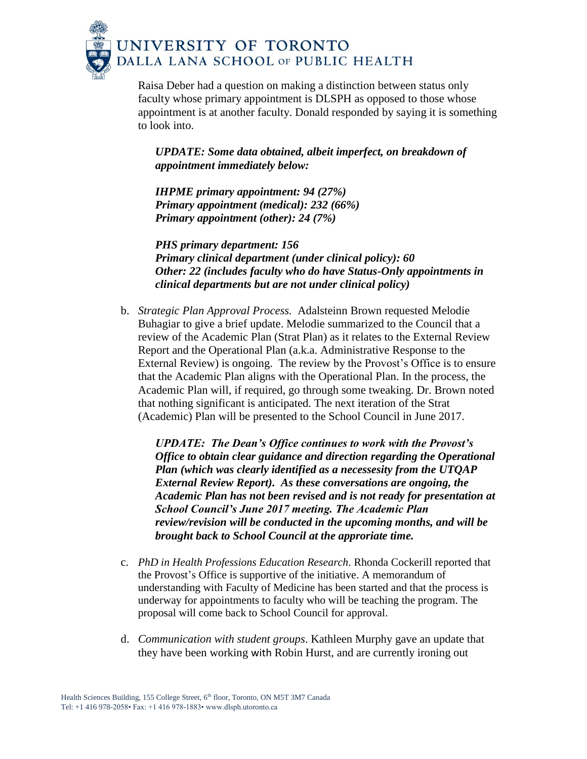

Raisa Deber had a question on making a distinction between status only faculty whose primary appointment is DLSPH as opposed to those whose appointment is at another faculty. Donald responded by saying it is something to look into.

## *UPDATE: Some data obtained, albeit imperfect, on breakdown of appointment immediately below:*

*IHPME primary appointment: 94 (27%) Primary appointment (medical): 232 (66%) Primary appointment (other): 24 (7%)*

*PHS primary department: 156 Primary clinical department (under clinical policy): 60 Other: 22 (includes faculty who do have Status-Only appointments in clinical departments but are not under clinical policy)*

b. *Strategic Plan Approval Process.* Adalsteinn Brown requested Melodie Buhagiar to give a brief update. Melodie summarized to the Council that a review of the Academic Plan (Strat Plan) as it relates to the External Review Report and the Operational Plan (a.k.a. Administrative Response to the External Review) is ongoing. The review by the Provost's Office is to ensure that the Academic Plan aligns with the Operational Plan. In the process, the Academic Plan will, if required, go through some tweaking. Dr. Brown noted that nothing significant is anticipated. The next iteration of the Strat (Academic) Plan will be presented to the School Council in June 2017.

*UPDATE: The Dean's Office continues to work with the Provost's Office to obtain clear guidance and direction regarding the Operational Plan (which was clearly identified as a necessesity from the UTQAP External Review Report). As these conversations are ongoing, the Academic Plan has not been revised and is not ready for presentation at School Council's June 2017 meeting. The Academic Plan review/revision will be conducted in the upcoming months, and will be brought back to School Council at the approriate time.*

- c. *PhD in Health Professions Education Research.* Rhonda Cockerill reported that the Provost's Office is supportive of the initiative. A memorandum of understanding with Faculty of Medicine has been started and that the process is underway for appointments to faculty who will be teaching the program. The proposal will come back to School Council for approval.
- d. *Communication with student groups*. Kathleen Murphy gave an update that they have been working with Robin Hurst, and are currently ironing out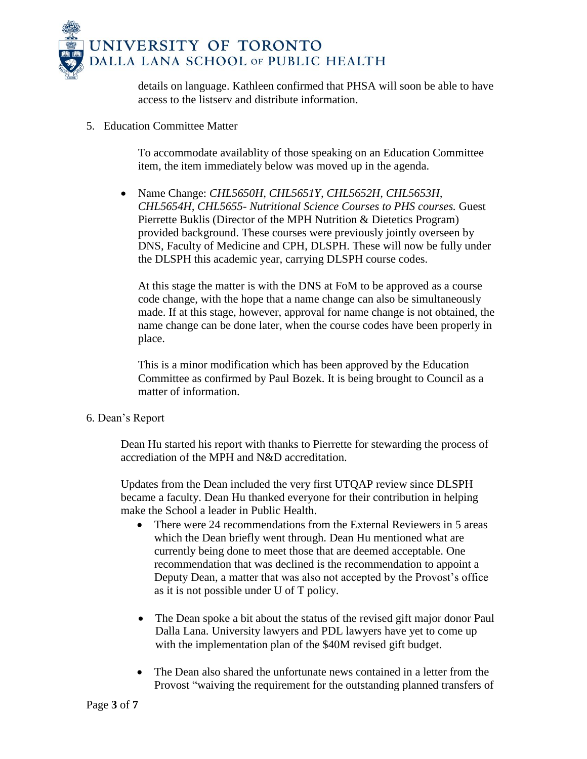

details on language. Kathleen confirmed that PHSA will soon be able to have access to the listserv and distribute information.

5. Education Committee Matter

To accommodate availablity of those speaking on an Education Committee item, the item immediately below was moved up in the agenda.

 Name Change: *CHL5650H, CHL5651Y, CHL5652H, CHL5653H, CHL5654H, CHL5655- Nutritional Science Courses to PHS courses.* Guest Pierrette Buklis (Director of the MPH Nutrition & Dietetics Program) provided background. These courses were previously jointly overseen by DNS, Faculty of Medicine and CPH, DLSPH. These will now be fully under the DLSPH this academic year, carrying DLSPH course codes.

At this stage the matter is with the DNS at FoM to be approved as a course code change, with the hope that a name change can also be simultaneously made. If at this stage, however, approval for name change is not obtained, the name change can be done later, when the course codes have been properly in place.

This is a minor modification which has been approved by the Education Committee as confirmed by Paul Bozek. It is being brought to Council as a matter of information.

6. Dean's Report

Dean Hu started his report with thanks to Pierrette for stewarding the process of accrediation of the MPH and N&D accreditation.

Updates from the Dean included the very first UTQAP review since DLSPH became a faculty. Dean Hu thanked everyone for their contribution in helping make the School a leader in Public Health.

- There were 24 recommendations from the External Reviewers in 5 areas which the Dean briefly went through. Dean Hu mentioned what are currently being done to meet those that are deemed acceptable. One recommendation that was declined is the recommendation to appoint a Deputy Dean, a matter that was also not accepted by the Provost's office as it is not possible under U of T policy.
- The Dean spoke a bit about the status of the revised gift major donor Paul Dalla Lana. University lawyers and PDL lawyers have yet to come up with the implementation plan of the \$40M revised gift budget.
- The Dean also shared the unfortunate news contained in a letter from the Provost "waiving the requirement for the outstanding planned transfers of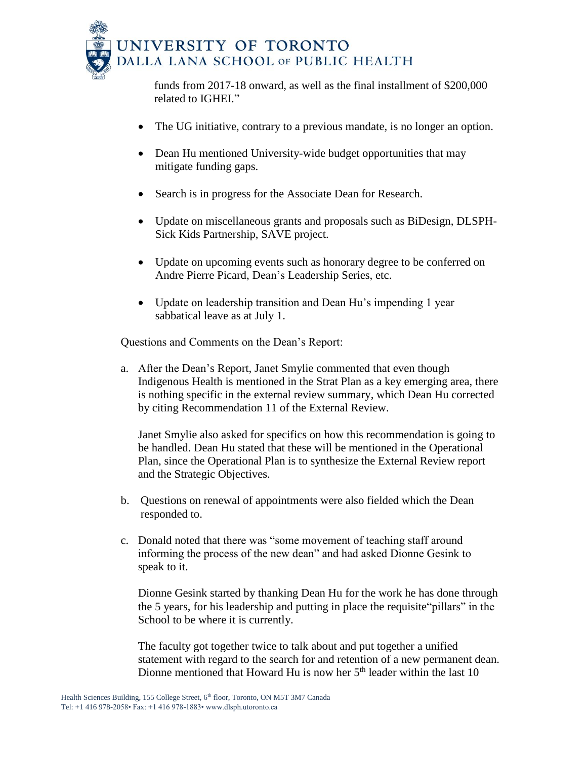

funds from 2017-18 onward, as well as the final installment of \$200,000 related to IGHEI."

- The UG initiative, contrary to a previous mandate, is no longer an option.
- Dean Hu mentioned University-wide budget opportunities that may mitigate funding gaps.
- Search is in progress for the Associate Dean for Research.
- Update on miscellaneous grants and proposals such as BiDesign, DLSPH-Sick Kids Partnership, SAVE project.
- Update on upcoming events such as honorary degree to be conferred on Andre Pierre Picard, Dean's Leadership Series, etc.
- Update on leadership transition and Dean Hu's impending 1 year sabbatical leave as at July 1.

Questions and Comments on the Dean's Report:

a. After the Dean's Report, Janet Smylie commented that even though Indigenous Health is mentioned in the Strat Plan as a key emerging area, there is nothing specific in the external review summary, which Dean Hu corrected by citing Recommendation 11 of the External Review.

Janet Smylie also asked for specifics on how this recommendation is going to be handled. Dean Hu stated that these will be mentioned in the Operational Plan, since the Operational Plan is to synthesize the External Review report and the Strategic Objectives.

- b. Questions on renewal of appointments were also fielded which the Dean responded to.
- c. Donald noted that there was "some movement of teaching staff around informing the process of the new dean" and had asked Dionne Gesink to speak to it.

Dionne Gesink started by thanking Dean Hu for the work he has done through the 5 years, for his leadership and putting in place the requisite"pillars" in the School to be where it is currently.

The faculty got together twice to talk about and put together a unified statement with regard to the search for and retention of a new permanent dean. Dionne mentioned that Howard Hu is now her  $5<sup>th</sup>$  leader within the last 10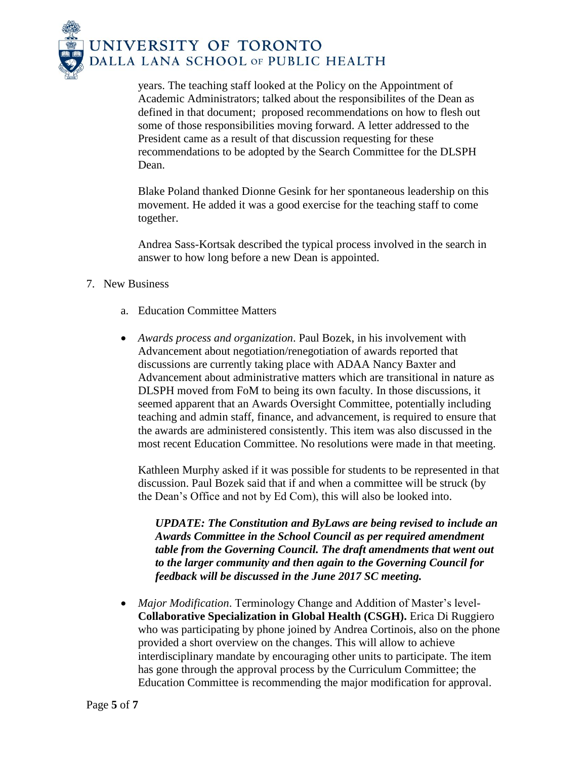

years. The teaching staff looked at the Policy on the Appointment of Academic Administrators; talked about the responsibilites of the Dean as defined in that document; proposed recommendations on how to flesh out some of those responsibilities moving forward. A letter addressed to the President came as a result of that discussion requesting for these recommendations to be adopted by the Search Committee for the DLSPH Dean.

Blake Poland thanked Dionne Gesink for her spontaneous leadership on this movement. He added it was a good exercise for the teaching staff to come together.

Andrea Sass-Kortsak described the typical process involved in the search in answer to how long before a new Dean is appointed.

## 7. New Business

- a. Education Committee Matters
- *Awards process and organization*. Paul Bozek, in his involvement with Advancement about negotiation/renegotiation of awards reported that discussions are currently taking place with ADAA Nancy Baxter and Advancement about administrative matters which are transitional in nature as DLSPH moved from FoM to being its own faculty. In those discussions, it seemed apparent that an Awards Oversight Committee, potentially including teaching and admin staff, finance, and advancement, is required to ensure that the awards are administered consistently. This item was also discussed in the most recent Education Committee. No resolutions were made in that meeting.

Kathleen Murphy asked if it was possible for students to be represented in that discussion. Paul Bozek said that if and when a committee will be struck (by the Dean's Office and not by Ed Com), this will also be looked into.

*UPDATE: The Constitution and ByLaws are being revised to include an Awards Committee in the School Council as per required amendment table from the Governing Council. The draft amendments that went out to the larger community and then again to the Governing Council for feedback will be discussed in the June 2017 SC meeting.* 

 *Major Modification*. Terminology Change and Addition of Master's level-**Collaborative Specialization in Global Health (CSGH).** Erica Di Ruggiero who was participating by phone joined by Andrea Cortinois, also on the phone provided a short overview on the changes. This will allow to achieve interdisciplinary mandate by encouraging other units to participate. The item has gone through the approval process by the Curriculum Committee; the Education Committee is recommending the major modification for approval.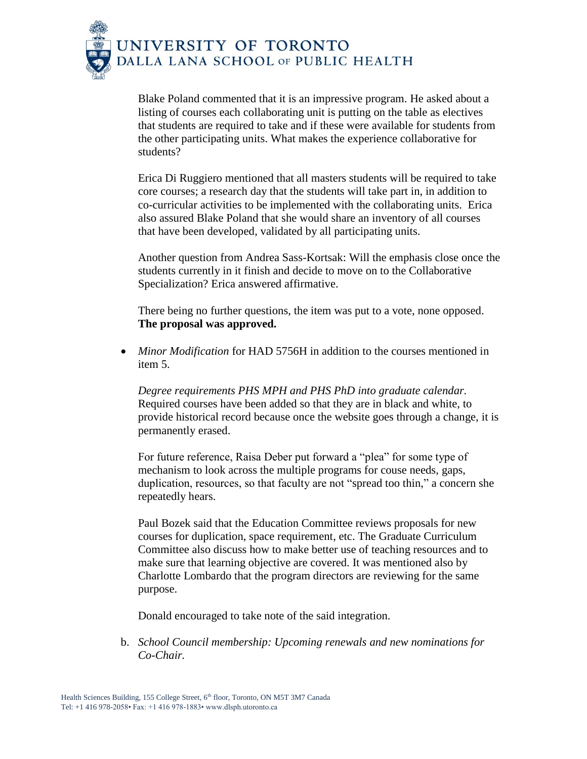

Blake Poland commented that it is an impressive program. He asked about a listing of courses each collaborating unit is putting on the table as electives that students are required to take and if these were available for students from the other participating units. What makes the experience collaborative for students?

Erica Di Ruggiero mentioned that all masters students will be required to take core courses; a research day that the students will take part in, in addition to co-curricular activities to be implemented with the collaborating units. Erica also assured Blake Poland that she would share an inventory of all courses that have been developed, validated by all participating units.

Another question from Andrea Sass-Kortsak: Will the emphasis close once the students currently in it finish and decide to move on to the Collaborative Specialization? Erica answered affirmative.

There being no further questions, the item was put to a vote, none opposed. **The proposal was approved.**

 *Minor Modification* for HAD 5756H in addition to the courses mentioned in item 5.

*Degree requirements PHS MPH and PHS PhD into graduate calendar.* Required courses have been added so that they are in black and white, to provide historical record because once the website goes through a change, it is permanently erased.

For future reference, Raisa Deber put forward a "plea" for some type of mechanism to look across the multiple programs for couse needs, gaps, duplication, resources, so that faculty are not "spread too thin," a concern she repeatedly hears.

Paul Bozek said that the Education Committee reviews proposals for new courses for duplication, space requirement, etc. The Graduate Curriculum Committee also discuss how to make better use of teaching resources and to make sure that learning objective are covered. It was mentioned also by Charlotte Lombardo that the program directors are reviewing for the same purpose.

Donald encouraged to take note of the said integration.

b. *School Council membership: Upcoming renewals and new nominations for Co-Chair.*